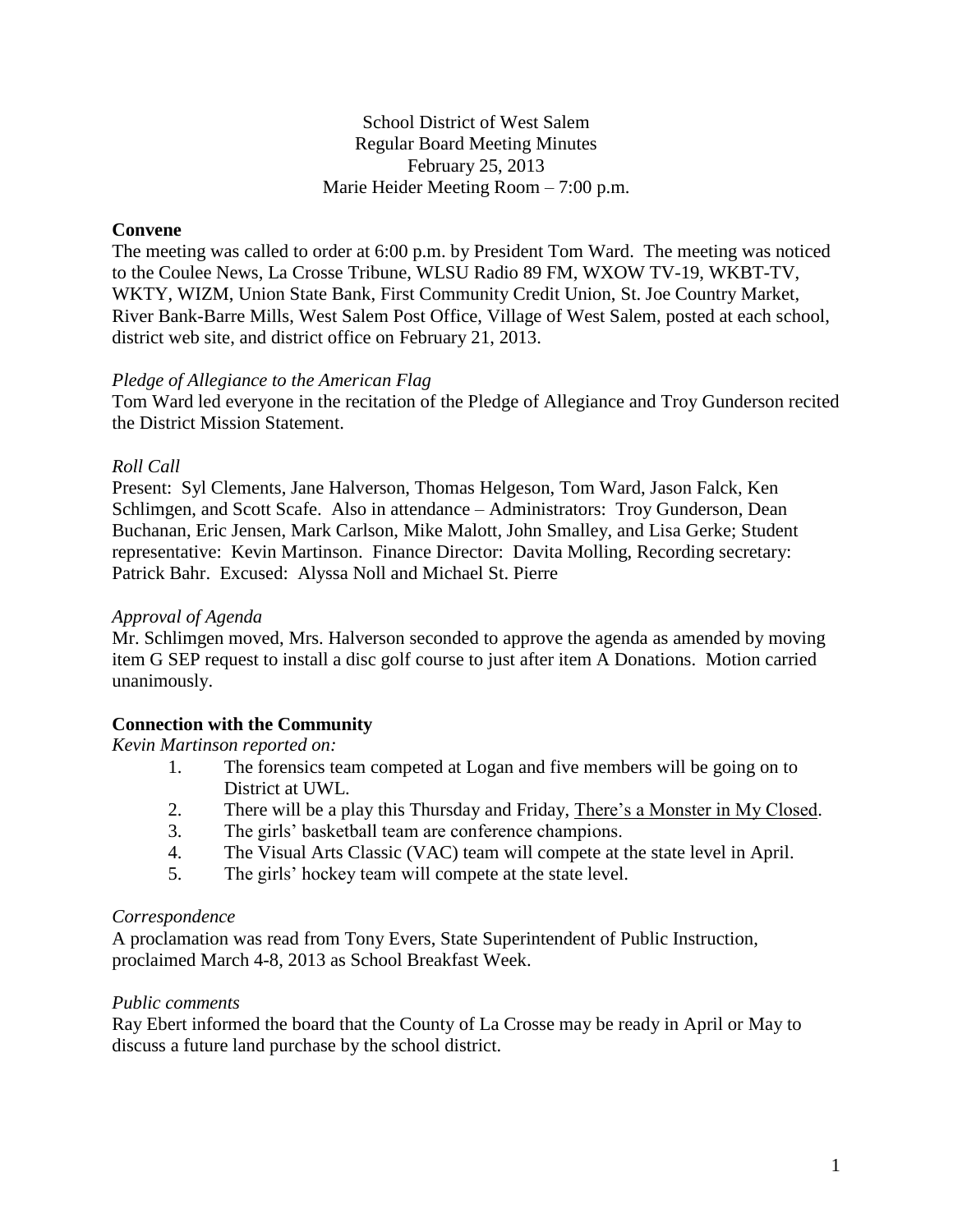## School District of West Salem Regular Board Meeting Minutes February 25, 2013 Marie Heider Meeting Room – 7:00 p.m.

## **Convene**

The meeting was called to order at 6:00 p.m. by President Tom Ward. The meeting was noticed to the Coulee News, La Crosse Tribune, WLSU Radio 89 FM, WXOW TV-19, WKBT-TV, WKTY, WIZM, Union State Bank, First Community Credit Union, St. Joe Country Market, River Bank-Barre Mills, West Salem Post Office, Village of West Salem, posted at each school, district web site, and district office on February 21, 2013.

#### *Pledge of Allegiance to the American Flag*

Tom Ward led everyone in the recitation of the Pledge of Allegiance and Troy Gunderson recited the District Mission Statement.

## *Roll Call*

Present: Syl Clements, Jane Halverson, Thomas Helgeson, Tom Ward, Jason Falck, Ken Schlimgen, and Scott Scafe. Also in attendance – Administrators: Troy Gunderson, Dean Buchanan, Eric Jensen, Mark Carlson, Mike Malott, John Smalley, and Lisa Gerke; Student representative: Kevin Martinson. Finance Director: Davita Molling, Recording secretary: Patrick Bahr. Excused: Alyssa Noll and Michael St. Pierre

#### *Approval of Agenda*

Mr. Schlimgen moved, Mrs. Halverson seconded to approve the agenda as amended by moving item G SEP request to install a disc golf course to just after item A Donations. Motion carried unanimously.

# **Connection with the Community**

*Kevin Martinson reported on:*

- 1. The forensics team competed at Logan and five members will be going on to District at UWL.
- 2. There will be a play this Thursday and Friday, There's a Monster in My Closed.
- 3. The girls' basketball team are conference champions.
- 4. The Visual Arts Classic (VAC) team will compete at the state level in April.
- 5. The girls' hockey team will compete at the state level.

#### *Correspondence*

A proclamation was read from Tony Evers, State Superintendent of Public Instruction, proclaimed March 4-8, 2013 as School Breakfast Week.

#### *Public comments*

Ray Ebert informed the board that the County of La Crosse may be ready in April or May to discuss a future land purchase by the school district.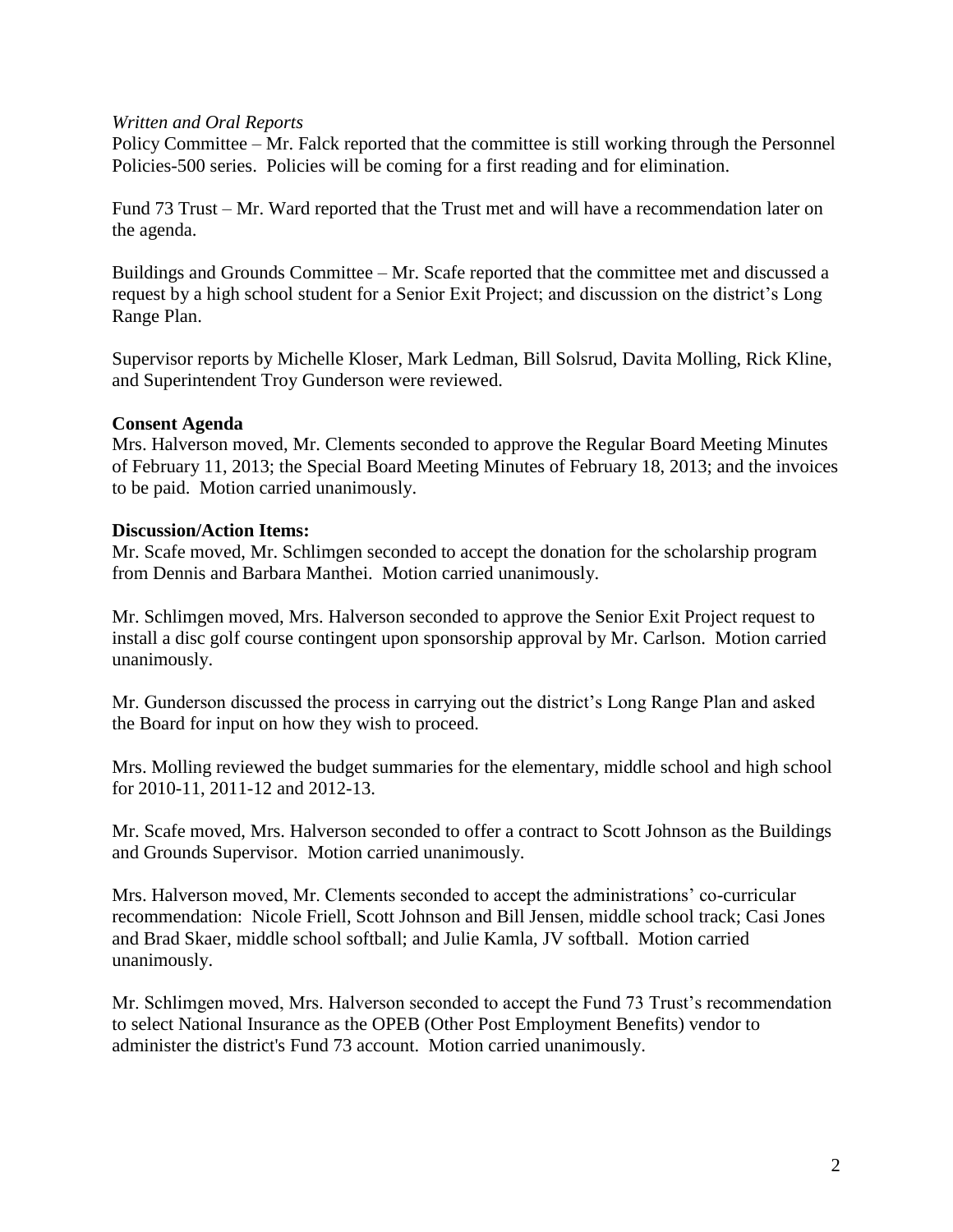#### *Written and Oral Reports*

Policy Committee – Mr. Falck reported that the committee is still working through the Personnel Policies-500 series. Policies will be coming for a first reading and for elimination.

Fund 73 Trust – Mr. Ward reported that the Trust met and will have a recommendation later on the agenda.

Buildings and Grounds Committee – Mr. Scafe reported that the committee met and discussed a request by a high school student for a Senior Exit Project; and discussion on the district's Long Range Plan.

Supervisor reports by Michelle Kloser, Mark Ledman, Bill Solsrud, Davita Molling, Rick Kline, and Superintendent Troy Gunderson were reviewed.

#### **Consent Agenda**

Mrs. Halverson moved, Mr. Clements seconded to approve the Regular Board Meeting Minutes of February 11, 2013; the Special Board Meeting Minutes of February 18, 2013; and the invoices to be paid. Motion carried unanimously.

#### **Discussion/Action Items:**

Mr. Scafe moved, Mr. Schlimgen seconded to accept the donation for the scholarship program from Dennis and Barbara Manthei. Motion carried unanimously.

Mr. Schlimgen moved, Mrs. Halverson seconded to approve the Senior Exit Project request to install a disc golf course contingent upon sponsorship approval by Mr. Carlson. Motion carried unanimously.

Mr. Gunderson discussed the process in carrying out the district's Long Range Plan and asked the Board for input on how they wish to proceed.

Mrs. Molling reviewed the budget summaries for the elementary, middle school and high school for 2010-11, 2011-12 and 2012-13.

Mr. Scafe moved, Mrs. Halverson seconded to offer a contract to Scott Johnson as the Buildings and Grounds Supervisor. Motion carried unanimously.

Mrs. Halverson moved, Mr. Clements seconded to accept the administrations' co-curricular recommendation: Nicole Friell, Scott Johnson and Bill Jensen, middle school track; Casi Jones and Brad Skaer, middle school softball; and Julie Kamla, JV softball. Motion carried unanimously.

Mr. Schlimgen moved, Mrs. Halverson seconded to accept the Fund 73 Trust's recommendation to select National Insurance as the OPEB (Other Post Employment Benefits) vendor to administer the district's Fund 73 account. Motion carried unanimously.